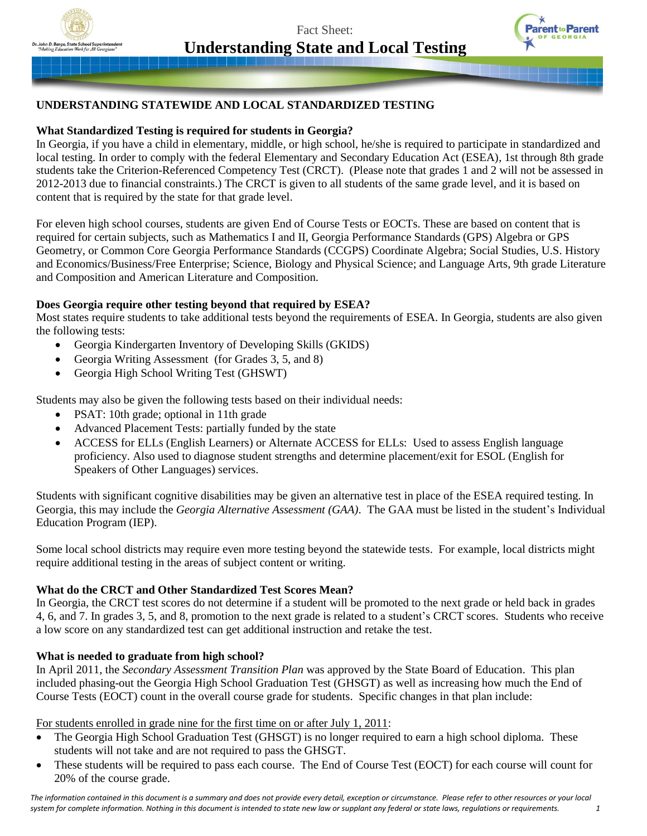Fact Sheet: **Understanding State and Local Testing**



# **UNDERSTANDING STATEWIDE AND LOCAL STANDARDIZED TESTING**

# **What Standardized Testing is required for students in Georgia?**

In Georgia, if you have a child in elementary, middle, or high school, he/she is required to participate in standardized and local testing. In order to comply with the federal Elementary and Secondary Education Act (ESEA), 1st through 8th grade students take the Criterion-Referenced Competency Test (CRCT). (Please note that grades 1 and 2 will not be assessed in 2012-2013 due to financial constraints.) The CRCT is given to all students of the same grade level, and it is based on content that is required by the state for that grade level.

For eleven high school courses, students are given End of Course Tests or EOCTs. These are based on content that is required for certain subjects, such as Mathematics I and II, Georgia Performance Standards (GPS) Algebra or GPS Geometry, or Common Core Georgia Performance Standards (CCGPS) Coordinate Algebra; Social Studies, U.S. History and Economics/Business/Free Enterprise; Science, Biology and Physical Science; and Language Arts, 9th grade Literature and Composition and American Literature and Composition.

## **Does Georgia require other testing beyond that required by ESEA?**

Most states require students to take additional tests beyond the requirements of ESEA. In Georgia, students are also given the following tests:

- Georgia Kindergarten Inventory of Developing Skills (GKIDS)
- Georgia Writing Assessment (for Grades 3, 5, and 8)
- Georgia High School Writing Test (GHSWT)

Students may also be given the following tests based on their individual needs:

- PSAT: 10th grade; optional in 11th grade
- Advanced Placement Tests: partially funded by the state
- ACCESS for ELLs (English Learners) or Alternate ACCESS for ELLs: Used to assess English language proficiency. Also used to diagnose student strengths and determine placement/exit for ESOL (English for Speakers of Other Languages) services.

Students with significant cognitive disabilities may be given an alternative test in place of the ESEA required testing. In Georgia, this may include the *Georgia Alternative Assessment (GAA)*. The GAA must be listed in the student's Individual Education Program (IEP).

Some local school districts may require even more testing beyond the statewide tests. For example, local districts might require additional testing in the areas of subject content or writing.

# **What do the CRCT and Other Standardized Test Scores Mean?**

In Georgia, the CRCT test scores do not determine if a student will be promoted to the next grade or held back in grades 4, 6, and 7. In grades 3, 5, and 8, promotion to the next grade is related to a student's CRCT scores. Students who receive a low score on any standardized test can get additional instruction and retake the test.

# **What is needed to graduate from high school?**

In April 2011, the *Secondary Assessment Transition Plan* was approved by the State Board of Education. This plan included phasing-out the Georgia High School Graduation Test (GHSGT) as well as increasing how much the End of Course Tests (EOCT) count in the overall course grade for students. Specific changes in that plan include:

For students enrolled in grade nine for the first time on or after July 1, 2011:

- The Georgia High School Graduation Test (GHSGT) is no longer required to earn a high school diploma. These students will not take and are not required to pass the GHSGT.
- These students will be required to pass each course. The End of Course Test (EOCT) for each course will count for 20% of the course grade.